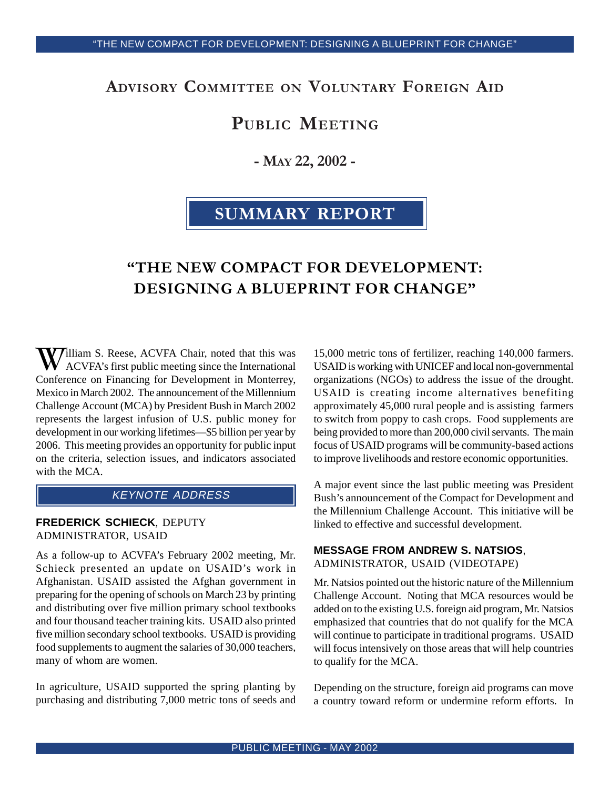# ADVISORY COMMITTEE ON VOLUNTARY FOREIGN AID

# PUBLIC MEETING

- MAY 22, 2002 -

# SUMMARY REPORT

# "THE NEW COMPACT FOR DEVELOPMENT: DESIGNING A BLUEPRINT FOR CHANGE"

William S. Reese, ACVFA Chair, noted that this was ACVFA's first public meeting since the International Conference on Financing for Development in Monterrey, Mexico in March 2002. The announcement of the Millennium Challenge Account (MCA) by President Bush in March 2002 represents the largest infusion of U.S. public money for development in our working lifetimes—\$5 billion per year by 2006. This meeting provides an opportunity for public input on the criteria, selection issues, and indicators associated with the MCA.

# KEYNOTE ADDRESS

#### **FREDERICK SCHIECK**, DEPUTY ADMINISTRATOR, USAID

As a follow-up to ACVFA's February 2002 meeting, Mr. Schieck presented an update on USAID's work in Afghanistan. USAID assisted the Afghan government in preparing for the opening of schools on March 23 by printing and distributing over five million primary school textbooks and four thousand teacher training kits. USAID also printed five million secondary school textbooks. USAID is providing food supplements to augment the salaries of 30,000 teachers, many of whom are women.

In agriculture, USAID supported the spring planting by purchasing and distributing 7,000 metric tons of seeds and 15,000 metric tons of fertilizer, reaching 140,000 farmers. USAID is working with UNICEF and local non-governmental organizations (NGOs) to address the issue of the drought. USAID is creating income alternatives benefiting approximately 45,000 rural people and is assisting farmers to switch from poppy to cash crops. Food supplements are being provided to more than 200,000 civil servants. The main focus of USAID programs will be community-based actions to improve livelihoods and restore economic opportunities.

A major event since the last public meeting was President Bush's announcement of the Compact for Development and the Millennium Challenge Account. This initiative will be linked to effective and successful development.

#### **MESSAGE FROM ANDREW S. NATSIOS**, ADMINISTRATOR, USAID (VIDEOTAPE)

Mr. Natsios pointed out the historic nature of the Millennium Challenge Account. Noting that MCA resources would be added on to the existing U.S. foreign aid program, Mr. Natsios emphasized that countries that do not qualify for the MCA will continue to participate in traditional programs. USAID will focus intensively on those areas that will help countries to qualify for the MCA.

Depending on the structure, foreign aid programs can move a country toward reform or undermine reform efforts. In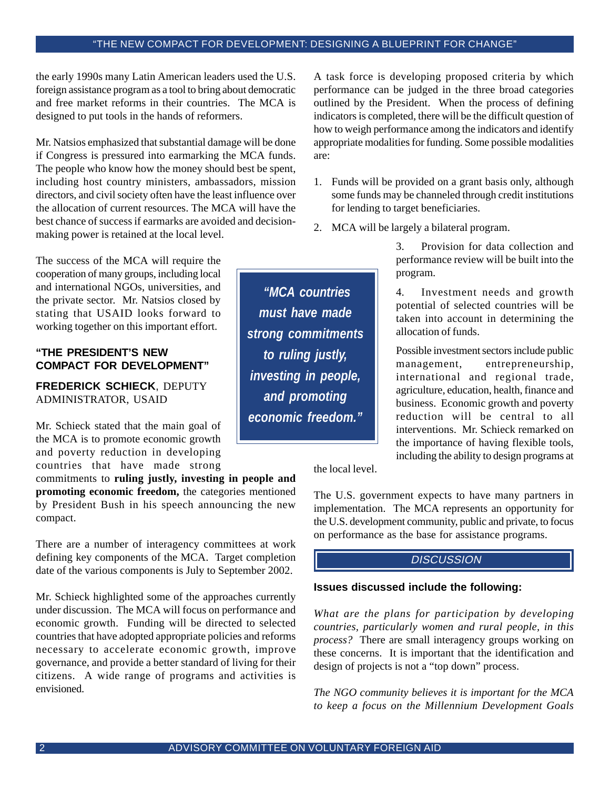the early 1990s many Latin American leaders used the U.S. foreign assistance program as a tool to bring about democratic and free market reforms in their countries. The MCA is designed to put tools in the hands of reformers.

Mr. Natsios emphasized that substantial damage will be done if Congress is pressured into earmarking the MCA funds. The people who know how the money should best be spent, including host country ministers, ambassadors, mission directors, and civil society often have the least influence over the allocation of current resources. The MCA will have the best chance of success if earmarks are avoided and decisionmaking power is retained at the local level.

The success of the MCA will require the cooperation of many groups, including local and international NGOs, universities, and the private sector. Mr. Natsios closed by stating that USAID looks forward to working together on this important effort.

#### **"THE PRESIDENT'S NEW COMPACT FOR DEVELOPMENT"**

**FREDERICK SCHIECK**, DEPUTY ADMINISTRATOR, USAID

Mr. Schieck stated that the main goal of the MCA is to promote economic growth and poverty reduction in developing countries that have made strong

commitments to **ruling justly, investing in people and promoting economic freedom,** the categories mentioned by President Bush in his speech announcing the new compact.

There are a number of interagency committees at work defining key components of the MCA. Target completion date of the various components is July to September 2002.

Mr. Schieck highlighted some of the approaches currently under discussion. The MCA will focus on performance and economic growth. Funding will be directed to selected countries that have adopted appropriate policies and reforms necessary to accelerate economic growth, improve governance, and provide a better standard of living for their citizens. A wide range of programs and activities is envisioned.

A task force is developing proposed criteria by which performance can be judged in the three broad categories outlined by the President. When the process of defining indicators is completed, there will be the difficult question of how to weigh performance among the indicators and identify appropriate modalities for funding. Some possible modalities are:

- 1. Funds will be provided on a grant basis only, although some funds may be channeled through credit institutions for lending to target beneficiaries.
- 2. MCA will be largely a bilateral program.

3. Provision for data collection and performance review will be built into the program.

4. Investment needs and growth potential of selected countries will be taken into account in determining the allocation of funds.

Possible investment sectors include public management, entrepreneurship, international and regional trade, agriculture, education, health, finance and business. Economic growth and poverty reduction will be central to all interventions. Mr. Schieck remarked on the importance of having flexible tools, including the ability to design programs at

the local level.

The U.S. government expects to have many partners in implementation. The MCA represents an opportunity for the U.S. development community, public and private, to focus on performance as the base for assistance programs.

## **DISCUSSION**

#### **Issues discussed include the following:**

*What are the plans for participation by developing countries, particularly women and rural people, in this process?* There are small interagency groups working on these concerns. It is important that the identification and design of projects is not a "top down" process.

*The NGO community believes it is important for the MCA to keep a focus on the Millennium Development Goals*

*"MCA countries must have made strong commitments to ruling justly, investing in people, and promoting economic freedom."*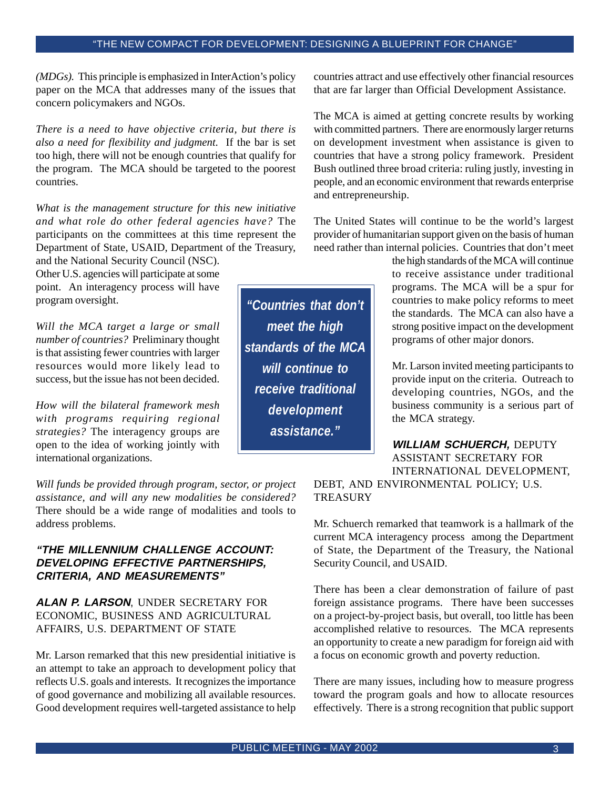*(MDGs).* This principle is emphasized in InterAction's policy paper on the MCA that addresses many of the issues that concern policymakers and NGOs.

*There is a need to have objective criteria, but there is also a need for flexibility and judgment.* If the bar is set too high, there will not be enough countries that qualify for the program. The MCA should be targeted to the poorest countries.

*What is the management structure for this new initiative and what role do other federal agencies have?* The participants on the committees at this time represent the Department of State, USAID, Department of the Treasury,

and the National Security Council (NSC). Other U.S. agencies will participate at some point. An interagency process will have program oversight.

*Will the MCA target a large or small number of countries?* Preliminary thought is that assisting fewer countries with larger resources would more likely lead to success, but the issue has not been decided.

*How will the bilateral framework mesh with programs requiring regional strategies?* The interagency groups are open to the idea of working jointly with international organizations.

*Will funds be provided through program, sector, or project assistance, and will any new modalities be considered?* There should be a wide range of modalities and tools to address problems.

### **"THE MILLENNIUM CHALLENGE ACCOUNT: DEVELOPING EFFECTIVE PARTNERSHIPS, CRITERIA, AND MEASUREMENTS"**

#### **ALAN P. LARSON**, UNDER SECRETARY FOR ECONOMIC, BUSINESS AND AGRICULTURAL AFFAIRS, U.S. DEPARTMENT OF STATE

Mr. Larson remarked that this new presidential initiative is an attempt to take an approach to development policy that reflects U.S. goals and interests. It recognizes the importance of good governance and mobilizing all available resources. Good development requires well-targeted assistance to help countries attract and use effectively other financial resources that are far larger than Official Development Assistance.

The MCA is aimed at getting concrete results by working with committed partners. There are enormously larger returns on development investment when assistance is given to countries that have a strong policy framework. President Bush outlined three broad criteria: ruling justly, investing in people, and an economic environment that rewards enterprise and entrepreneurship.

The United States will continue to be the world's largest provider of humanitarian support given on the basis of human need rather than internal policies. Countries that don't meet

> the high standards of the MCA will continue to receive assistance under traditional programs. The MCA will be a spur for countries to make policy reforms to meet the standards. The MCA can also have a strong positive impact on the development programs of other major donors.

> Mr. Larson invited meeting participants to provide input on the criteria. Outreach to developing countries, NGOs, and the business community is a serious part of the MCA strategy.

**WILLIAM SCHUERCH,** DEPUTY ASSISTANT SECRETARY FOR INTERNATIONAL DEVELOPMENT,

DEBT, AND ENVIRONMENTAL POLICY; U.S. **TREASURY** 

Mr. Schuerch remarked that teamwork is a hallmark of the current MCA interagency process among the Department of State, the Department of the Treasury, the National Security Council, and USAID.

There has been a clear demonstration of failure of past foreign assistance programs. There have been successes on a project-by-project basis, but overall, too little has been accomplished relative to resources. The MCA represents an opportunity to create a new paradigm for foreign aid with a focus on economic growth and poverty reduction.

There are many issues, including how to measure progress toward the program goals and how to allocate resources effectively. There is a strong recognition that public support

*"Countries that don't meet the high standards of the MCA will continue to receive traditional development assistance."*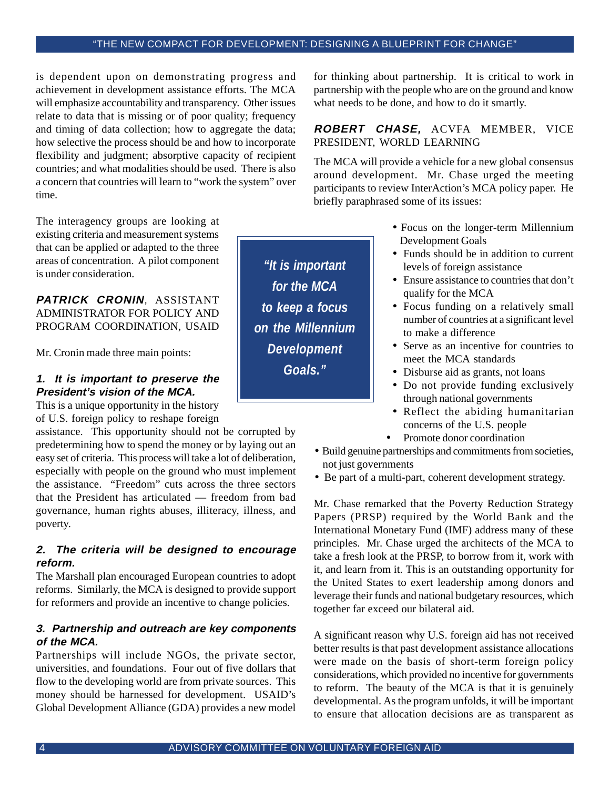is dependent upon on demonstrating progress and achievement in development assistance efforts. The MCA will emphasize accountability and transparency. Other issues relate to data that is missing or of poor quality; frequency and timing of data collection; how to aggregate the data; how selective the process should be and how to incorporate flexibility and judgment; absorptive capacity of recipient countries; and what modalities should be used. There is also a concern that countries will learn to "work the system" over time.

The interagency groups are looking at existing criteria and measurement systems that can be applied or adapted to the three areas of concentration. A pilot component is under consideration.

**PATRICK CRONIN**, ASSISTANT ADMINISTRATOR FOR POLICY AND PROGRAM COORDINATION, USAID

Mr. Cronin made three main points:

# **1. It is important to preserve the President's vision of the MCA.**

This is a unique opportunity in the history of U.S. foreign policy to reshape foreign

assistance. This opportunity should not be corrupted by predetermining how to spend the money or by laying out an easy set of criteria. This process will take a lot of deliberation, especially with people on the ground who must implement the assistance. "Freedom" cuts across the three sectors that the President has articulated — freedom from bad governance, human rights abuses, illiteracy, illness, and poverty.

### **2. The criteria will be designed to encourage reform.**

The Marshall plan encouraged European countries to adopt reforms. Similarly, the MCA is designed to provide support for reformers and provide an incentive to change policies.

#### **3. Partnership and outreach are key components of the MCA.**

Partnerships will include NGOs, the private sector, universities, and foundations. Four out of five dollars that flow to the developing world are from private sources. This money should be harnessed for development. USAID's Global Development Alliance (GDA) provides a new model

for thinking about partnership. It is critical to work in partnership with the people who are on the ground and know what needs to be done, and how to do it smartly.

#### **ROBERT CHASE,** ACVFA MEMBER, VICE PRESIDENT, WORLD LEARNING

The MCA will provide a vehicle for a new global consensus around development. Mr. Chase urged the meeting participants to review InterAction's MCA policy paper. He briefly paraphrased some of its issues:

- Focus on the longer-term Millennium Development Goals
- Funds should be in addition to current levels of foreign assistance
- Ensure assistance to countries that don't qualify for the MCA
- Focus funding on a relatively small number of countries at a significant level to make a difference
- Serve as an incentive for countries to meet the MCA standards
- Disburse aid as grants, not loans
- Do not provide funding exclusively through national governments
- Reflect the abiding humanitarian concerns of the U.S. people
- Promote donor coordination
- Build genuine partnerships and commitments from societies, not just governments
- Be part of a multi-part, coherent development strategy.

Mr. Chase remarked that the Poverty Reduction Strategy Papers (PRSP) required by the World Bank and the International Monetary Fund (IMF) address many of these principles. Mr. Chase urged the architects of the MCA to take a fresh look at the PRSP, to borrow from it, work with it, and learn from it. This is an outstanding opportunity for the United States to exert leadership among donors and leverage their funds and national budgetary resources, which together far exceed our bilateral aid.

A significant reason why U.S. foreign aid has not received better results is that past development assistance allocations were made on the basis of short-term foreign policy considerations, which provided no incentive for governments to reform. The beauty of the MCA is that it is genuinely developmental. As the program unfolds, it will be important to ensure that allocation decisions are as transparent as

*"It is important for the MCA to keep a focus on the Millennium Development Goals."*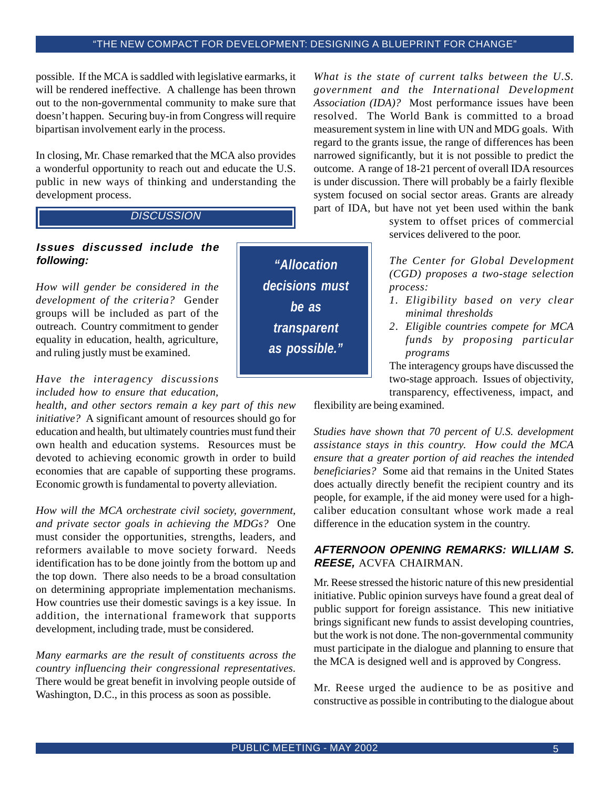possible. If the MCA is saddled with legislative earmarks, it will be rendered ineffective. A challenge has been thrown out to the non-governmental community to make sure that doesn't happen. Securing buy-in from Congress will require bipartisan involvement early in the process.

In closing, Mr. Chase remarked that the MCA also provides a wonderful opportunity to reach out and educate the U.S. public in new ways of thinking and understanding the development process.

# **DISCUSSION**

## **Issues discussed include the following:**

*How will gender be considered in the development of the criteria?* Gender groups will be included as part of the outreach. Country commitment to gender equality in education, health, agriculture, and ruling justly must be examined.

# *Have the interagency discussions included how to ensure that education,*

*health, and other sectors remain a key part of this new initiative?* A significant amount of resources should go for education and health, but ultimately countries must fund their own health and education systems. Resources must be devoted to achieving economic growth in order to build economies that are capable of supporting these programs. Economic growth is fundamental to poverty alleviation.

*How will the MCA orchestrate civil society, government, and private sector goals in achieving the MDGs?* One must consider the opportunities, strengths, leaders, and reformers available to move society forward. Needs identification has to be done jointly from the bottom up and the top down. There also needs to be a broad consultation on determining appropriate implementation mechanisms. How countries use their domestic savings is a key issue. In addition, the international framework that supports development, including trade, must be considered.

*Many earmarks are the result of constituents across the country influencing their congressional representatives.* There would be great benefit in involving people outside of Washington, D.C., in this process as soon as possible.

*What is the state of current talks between the U.S. government and the International Development Association (IDA)?* Most performance issues have been resolved. The World Bank is committed to a broad measurement system in line with UN and MDG goals. With regard to the grants issue, the range of differences has been narrowed significantly, but it is not possible to predict the outcome. A range of 18-21 percent of overall IDA resources is under discussion. There will probably be a fairly flexible system focused on social sector areas. Grants are already part of IDA, but have not yet been used within the bank

> system to offset prices of commercial services delivered to the poor.

*The Center for Global Development (CGD) proposes a two-stage selection process:*

- *1. Eligibility based on very clear minimal thresholds*
- *2. Eligible countries compete for MCA funds by proposing particular programs*

The interagency groups have discussed the two-stage approach. Issues of objectivity, transparency, effectiveness, impact, and

flexibility are being examined.

*Studies have shown that 70 percent of U.S. development assistance stays in this country. How could the MCA ensure that a greater portion of aid reaches the intended beneficiaries?* Some aid that remains in the United States does actually directly benefit the recipient country and its people, for example, if the aid money were used for a highcaliber education consultant whose work made a real difference in the education system in the country.

#### **AFTERNOON OPENING REMARKS: WILLIAM S. REESE,** ACVFA CHAIRMAN.

Mr. Reese stressed the historic nature of this new presidential initiative. Public opinion surveys have found a great deal of public support for foreign assistance. This new initiative brings significant new funds to assist developing countries, but the work is not done. The non-governmental community must participate in the dialogue and planning to ensure that the MCA is designed well and is approved by Congress.

Mr. Reese urged the audience to be as positive and constructive as possible in contributing to the dialogue about

*"Allocation decisions must be as transparent as possible."*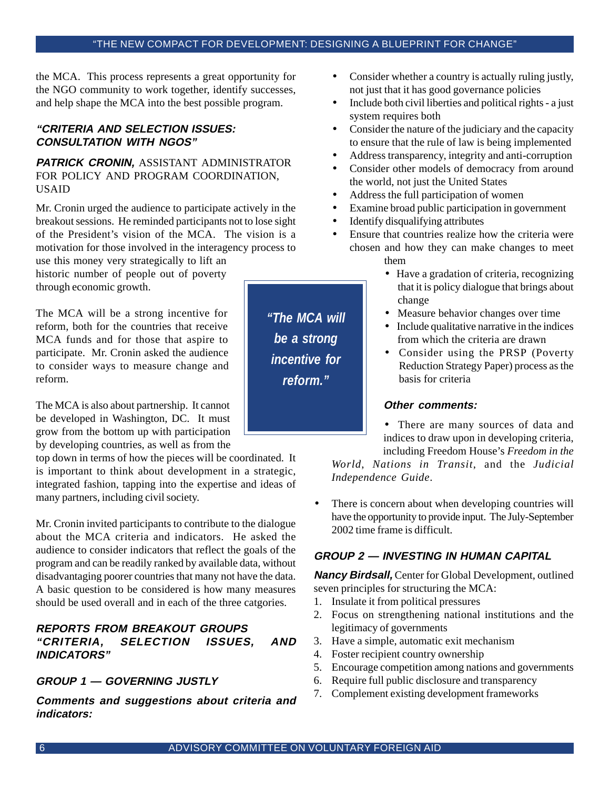the MCA. This process represents a great opportunity for the NGO community to work together, identify successes, and help shape the MCA into the best possible program.

# **"CRITERIA AND SELECTION ISSUES: CONSULTATION WITH NGOS"**

#### **PATRICK CRONIN,** ASSISTANT ADMINISTRATOR FOR POLICY AND PROGRAM COORDINATION, USAID

Mr. Cronin urged the audience to participate actively in the breakout sessions. He reminded participants not to lose sight of the President's vision of the MCA. The vision is a motivation for those involved in the interagency process to use this money very strategically to lift an

historic number of people out of poverty through economic growth.

The MCA will be a strong incentive for reform, both for the countries that receive MCA funds and for those that aspire to participate. Mr. Cronin asked the audience to consider ways to measure change and reform.

The MCA is also about partnership. It cannot be developed in Washington, DC. It must grow from the bottom up with participation by developing countries, as well as from the

top down in terms of how the pieces will be coordinated. It is important to think about development in a strategic, integrated fashion, tapping into the expertise and ideas of many partners, including civil society.

Mr. Cronin invited participants to contribute to the dialogue about the MCA criteria and indicators. He asked the audience to consider indicators that reflect the goals of the program and can be readily ranked by available data, without disadvantaging poorer countries that many not have the data. A basic question to be considered is how many measures should be used overall and in each of the three catgories.

# **REPORTS FROM BREAKOUT GROUPS "CRITERIA, SELECTION ISSUES, AND INDICATORS"**

# **GROUP 1 — GOVERNING JUSTLY**

**Comments and suggestions about criteria and indicators:**

• Consider whether a country is actually ruling justly, not just that it has good governance policies

- Include both civil liberties and political rights a just system requires both
- Consider the nature of the judiciary and the capacity to ensure that the rule of law is being implemented
- Address transparency, integrity and anti-corruption
- Consider other models of democracy from around the world, not just the United States
- Address the full participation of women
- Examine broad public participation in government
- Identify disqualifying attributes
- Ensure that countries realize how the criteria were chosen and how they can make changes to meet them
	- Have a gradation of criteria, recognizing that it is policy dialogue that brings about change
	- Measure behavior changes over time
	- Include qualitative narrative in the indices from which the criteria are drawn
	- Consider using the PRSP (Poverty Reduction Strategy Paper) process as the basis for criteria

#### **Other comments:**

• There are many sources of data and indices to draw upon in developing criteria, including Freedom House's *Freedom in the*

*World*, *Nations in Transit*, and the *Judicial Independence Guide*.

• There is concern about when developing countries will have the opportunity to provide input. The July-September 2002 time frame is difficult.

# **GROUP 2 — INVESTING IN HUMAN CAPITAL**

**Nancy Birdsall,** Center for Global Development, outlined seven principles for structuring the MCA:

- 1. Insulate it from political pressures
- 2. Focus on strengthening national institutions and the legitimacy of governments
- 3. Have a simple, automatic exit mechanism
- 4. Foster recipient country ownership
- 5. Encourage competition among nations and governments
- 6. Require full public disclosure and transparency
- 7. Complement existing development frameworks

*"The MCA will be a strong incentive for reform."*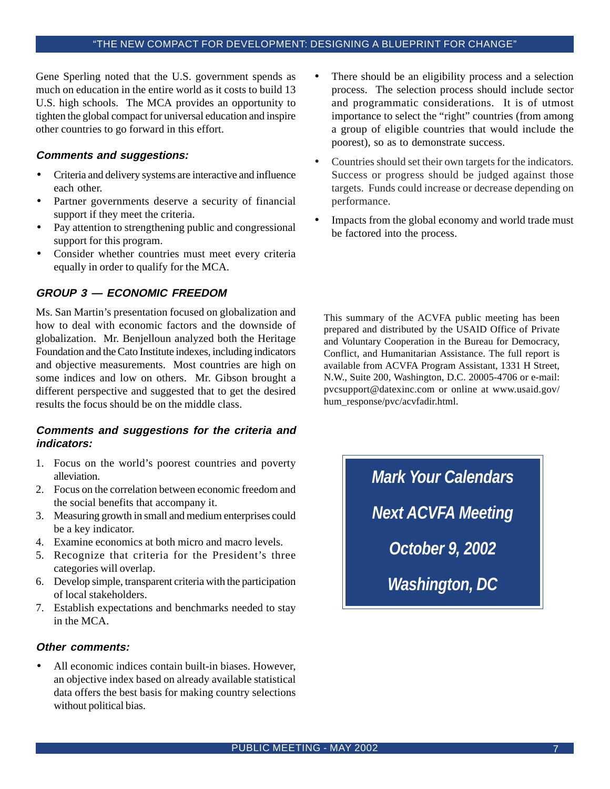Gene Sperling noted that the U.S. government spends as much on education in the entire world as it costs to build 13 U.S. high schools. The MCA provides an opportunity to tighten the global compact for universal education and inspire other countries to go forward in this effort.

#### **Comments and suggestions:**

- Criteria and delivery systems are interactive and influence each other.
- Partner governments deserve a security of financial support if they meet the criteria.
- Pay attention to strengthening public and congressional support for this program.
- Consider whether countries must meet every criteria equally in order to qualify for the MCA.

### **GROUP 3 — ECONOMIC FREEDOM**

Ms. San Martin's presentation focused on globalization and how to deal with economic factors and the downside of globalization. Mr. Benjelloun analyzed both the Heritage Foundation and the Cato Institute indexes, including indicators and objective measurements. Most countries are high on some indices and low on others. Mr. Gibson brought a different perspective and suggested that to get the desired results the focus should be on the middle class.

#### **Comments and suggestions for the criteria and indicators:**

- 1. Focus on the world's poorest countries and poverty alleviation.
- 2. Focus on the correlation between economic freedom and the social benefits that accompany it.
- 3. Measuring growth in small and medium enterprises could be a key indicator.
- 4. Examine economics at both micro and macro levels.
- 5. Recognize that criteria for the President's three categories will overlap.
- 6. Develop simple, transparent criteria with the participation of local stakeholders.
- 7. Establish expectations and benchmarks needed to stay in the MCA.

#### **Other comments:**

All economic indices contain built-in biases. However, an objective index based on already available statistical data offers the best basis for making country selections without political bias.

- There should be an eligibility process and a selection process. The selection process should include sector and programmatic considerations. It is of utmost importance to select the "right" countries (from among a group of eligible countries that would include the poorest), so as to demonstrate success.
- Countries should set their own targets for the indicators. Success or progress should be judged against those targets. Funds could increase or decrease depending on performance.
- Impacts from the global economy and world trade must be factored into the process.

This summary of the ACVFA public meeting has been prepared and distributed by the USAID Office of Private and Voluntary Cooperation in the Bureau for Democracy, Conflict, and Humanitarian Assistance. The full report is available from ACVFA Program Assistant, 1331 H Street, N.W., Suite 200, Washington, D.C. 20005-4706 or e-mail: pvcsupport@datexinc.com or online at www.usaid.gov/ hum\_response/pvc/acvfadir.html.

> *Mark Your Calendars Next ACVFA Meeting October 9, 2002 Washington, DC*

PUBLIC MEETING - MAY 2002